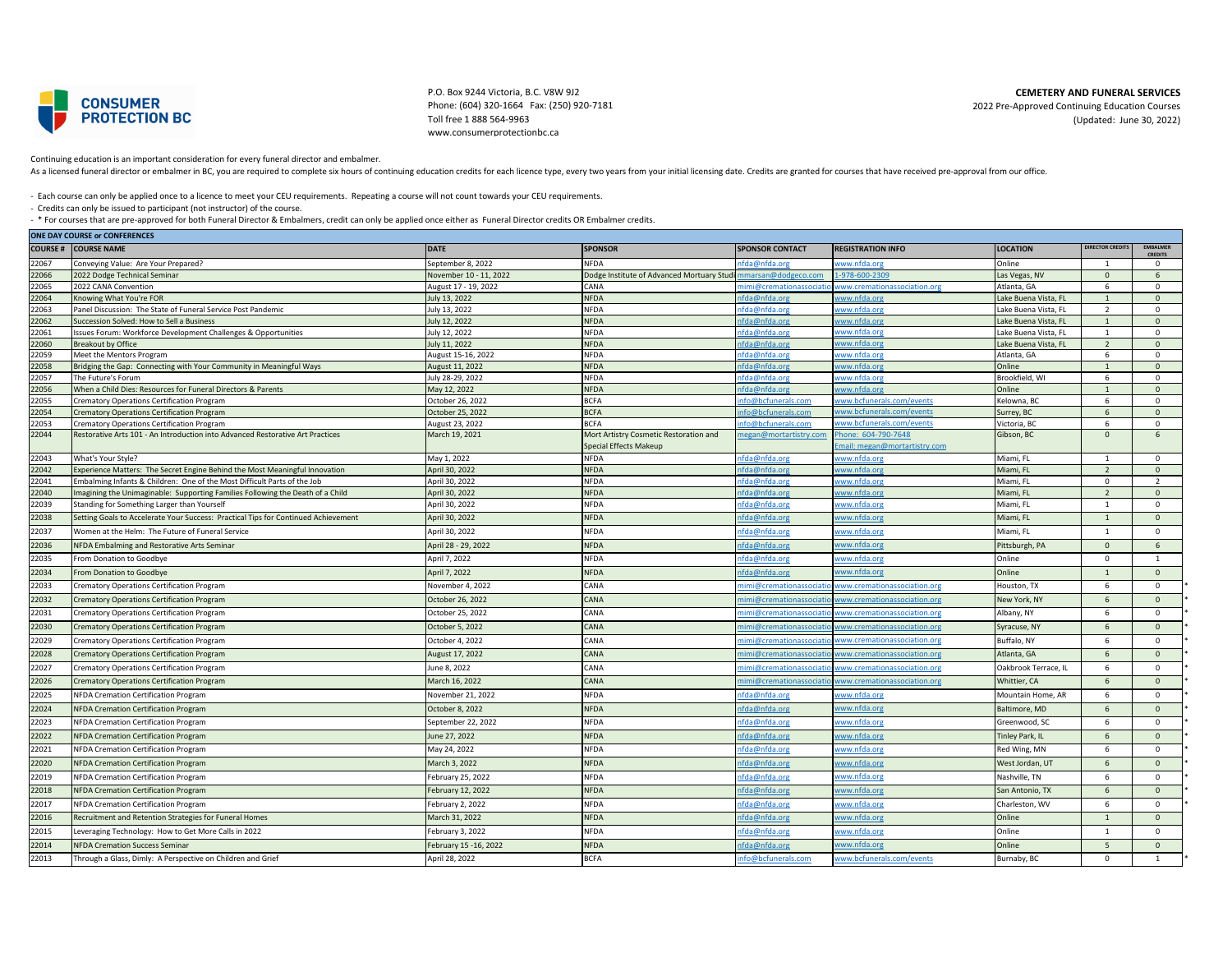

P.O. Box 9244 Victoria, B.C. V8W 9J2 Phone: (604) 320-1664 Fax: (250) 920-7181 Toll free 1 888 564-9963 www.consumerprotectionbc.ca

**CEMETERY AND FUNERAL SERVICES**

2022 Pre-Approved Continuing Education Courses (Updated: June 30, 2022)

Continuing education is an important consideration for every funeral director and embalmer.

As a licensed funeral director or embalmer in BC, you are required to complete six hours of continuing education credits for each licence type, every two years from your initial licensing date. Credits are granted for cour

- Each course can only be applied once to a licence to meet your CEU requirements. Repeating a course will not count towards your CEU requirements.

- Credits can only be issued to participant (not instructor) of the course.

- \* For courses that are pre-approved for both Funeral Director & Embalmers, credit can only be applied once either as Funeral Director credits OR Embalmer credits.<br> **Can pay counce ++ Courses versus** 

| <b>ONE DAY COURSE or CONFERENCES</b> |                                                                                    |                                     |                                           |                                |                              |                                    |                          |                                   |  |
|--------------------------------------|------------------------------------------------------------------------------------|-------------------------------------|-------------------------------------------|--------------------------------|------------------------------|------------------------------------|--------------------------|-----------------------------------|--|
| <b>COURSE#</b>                       | <b>COURSE NAME</b>                                                                 | <b>DATE</b>                         | <b>SPONSOR</b>                            | <b>SPONSOR CONTACT</b>         | <b>REGISTRATION INFO</b>     | <b>LOCATION</b>                    | <b>DIRECTOR CREDITS</b>  | <b>EMBALMER</b><br><b>CREDITS</b> |  |
| 22067                                | Conveying Value: Are Your Prepared?                                                | September 8, 2022                   | <b>NFDA</b>                               | nfda@nfda.org                  | www.nfda.ori                 | <b>Online</b>                      |                          | $\mathbf{0}$                      |  |
| 22066                                | 2022 Dodge Technical Seminar                                                       | November 10 - 11, 2022              | Dodge Institute of Advanced Mortuary Stud | marsan@dodgeco.com             | $-978 - 600 - 2309$          | Las Vegas, NV                      | $\Omega$                 | 6                                 |  |
| 22065                                | 2022 CANA Convention                                                               | August 17 - 19, 2022                | CANA                                      | nimi@cremationassociat         | ww.cremationassociation.org  | Atlanta, GA                        | 6                        | $\circ$                           |  |
| 22064                                | Knowing What You're FOR                                                            | July 13, 2022                       | <b>NFDA</b>                               | ıfda@nfda.orı                  | ww.nfda.org                  | ake Buena Vista, FL                |                          | $\mathbf{0}$                      |  |
| 22063                                | Panel Discussion: The State of Funeral Service Post Pandemic                       | July 13, 2022                       | <b>NFDA</b>                               | nfda@nfda.org                  | ww.nfda.org                  | ake Buena Vista. FL                | $\overline{\phantom{a}}$ | $\circ$                           |  |
| 22062                                | Succession Solved: How to Sell a Business                                          | July 12, 2022                       | <b>NFDA</b>                               | nfda@nfda.ori                  | ww.nfda.org                  | ake Buena Vista, FL                |                          | $\mathbf{0}$                      |  |
| 22061                                | sues Forum: Workforce Development Challenges & Opportunities                       | July 12, 2022                       | <b>NFDA</b>                               | nfda@nfda.ora                  | ww.nfda.orj                  | .ake Buena Vista. FL               | $\mathbf{1}$             | $^{\circ}$                        |  |
| 22060<br>22059                       | <b>Breakout by Office</b><br>Meet the Mentors Program                              | luly 11, 2022<br>August 15-16, 2022 | <b>NFDA</b><br><b>NFDA</b>                | ifda@nfda.ori<br>nfda@nfda.orj | ww.nfda.or<br>ww.nfda.org    | ake Buena Vista, FL<br>Atlanta, GA | $\overline{z}$<br>6      | $\Omega$<br>$\circ$               |  |
| 22058                                | Bridging the Gap: Connecting with Your Community in Meaningful Ways                | August 11, 2022                     | <b>NFDA</b>                               | nfda@nfda.ori                  | vww.nfda.or                  | <b>Online</b>                      |                          | $\Omega$                          |  |
| 22057                                | The Future's Forum                                                                 | July 28-29, 2022                    | <b>NFDA</b>                               | nfda@nfda.org                  | ww.nfda.or                   | Brookfield, WI                     | 6                        | $\circ$                           |  |
| 22056                                | When a Child Dies: Resources for Funeral Directors & Parents                       | May 12, 2022                        | <b>NFDA</b>                               | nfda@nfda.ori                  | ww.nfda.or                   | Online                             |                          | $\Omega$                          |  |
| 22055                                | Crematory Operations Certification Program                                         | October 26, 2022                    | <b>BCFA</b>                               | nfo@bcfunerals.com             | www.bcfunerals.com/events    | Kelowna, BC                        | 6                        | $\Omega$                          |  |
| 22054                                | rematory Operations Certification Program                                          | October 25, 2022                    | <b>BCFA</b>                               | nfo@bcfunerals.com             | www.bcfunerals.com/events    | Surrey, BC                         | 6                        | $\mathbf{0}$                      |  |
| 22053                                | Crematory Operations Certification Program                                         | August 23, 2022                     | <b>BCFA</b>                               | nfo@bcfunerals.com             | www.bcfunerals.com/events    | Victoria, BC                       | 6                        | $\mathbf{0}$                      |  |
| 22044                                | Restorative Arts 101 - An Introduction into Advanced Restorative Art Practices     | March 19, 2021                      | Mort Artistry Cosmetic Restoration and    | negan@mortartistry.con         | hone: 604-790-7648           | Gibson, BC                         | $\Omega$                 | 6                                 |  |
|                                      |                                                                                    |                                     | Special Effects Makeup                    |                                | mail: megan@mortartistry.com |                                    |                          |                                   |  |
| 22043                                | What's Your Style?                                                                 | May 1, 2022                         | <b>NFDA</b>                               | nfda@nfda.org                  | www.nfda.org                 | Miami, FL                          | -1                       | $\mathbf 0$                       |  |
| 22042                                | xperience Matters: The Secret Engine Behind the Most Meaningful Innovation         | April 30, 2022                      | <b>NFDA</b>                               | ifda@nfda.ori                  | ww.nfda.or                   | Miami, FL                          |                          | $\mathbf{0}$                      |  |
| 22041                                | Embalming Infants & Children: One of the Most Difficult Parts of the Job           | April 30, 2022                      | <b>NFDA</b>                               | nfda@nfda.or                   | www.nfda.ori                 | Miami, FL                          | $\Omega$                 | $\overline{2}$                    |  |
| 22040                                | magining the Unimaginable: Supporting Families Following the Death of a Child      | April 30, 2022                      | <b>NFDA</b>                               | nfda@nfda.org                  | ww.nfda.org                  | Miami, FL                          | $\overline{z}$           | $\mathbf{0}$                      |  |
| 22039                                | Standing for Something Larger than Yourself                                        | April 30, 2022                      | <b>NFDA</b>                               | nfda@nfda.org                  | www.nfda.org                 | Miami, FL                          | $\mathbf{1}$             | $\circ$                           |  |
| 22038                                | Setting Goals to Accelerate Your Success: Practical Tips for Continued Achievement | April 30, 2022                      | <b>NFDA</b>                               | nfda@nfda.org                  | ww.nfda.org                  | Miami, FL                          | $\overline{1}$           | $\mathbf{0}$                      |  |
| 22037                                | Women at the Helm: The Future of Funeral Service                                   | April 30, 2022                      | <b>NFDA</b>                               | ifda@nfda.org                  | vww.nfda.org                 | Miami, FL                          |                          | $\circ$                           |  |
| 22036                                | NFDA Embalming and Restorative Arts Seminar                                        | April 28 - 29, 2022                 | <b>NFDA</b>                               | nfda@nfda.org                  | ww.nfda.or                   | Pittsburgh, PA                     | $\Omega$                 | 6                                 |  |
| 22035                                | From Donation to Goodbye                                                           | April 7, 2022                       | <b>NFDA</b>                               | ifda@nfda.org                  | vww.nfda.org                 | Online                             | $\Omega$                 | $\mathbf{1}$                      |  |
| 22034                                | From Donation to Goodbye                                                           | April 7, 2022                       | <b>NFDA</b>                               | fda@nfda.org                   | www.nfda.org                 | Online                             |                          | $\mathbf{0}$                      |  |
| 22033                                | Crematory Operations Certification Program                                         | November 4, 2022                    | CANA                                      | nimi@cremationassocia          | www.cremationassociation.org | Houston, TX                        | 6                        | $\circ$                           |  |
| 22032                                | Crematory Operations Certification Program                                         | October 26, 2022                    | CANA                                      | nimi@cremationassocia          | www.cremationassociation.org | New York, NY                       | $\mathsf{f}$             | $\mathbf{0}$                      |  |
| 22031                                | Crematory Operations Certification Program                                         | October 25, 2022                    | CANA                                      | nimi@cremationassocia          | www.cremationassociation.org | Albany, NY                         | -6                       | $\Omega$                          |  |
| 22030                                | Crematory Operations Certification Program                                         | October 5, 2022                     | CANA                                      | nimi@cremationassocia          | www.cremationassociation.org | Syracuse, NY                       | 6                        | $\mathbf{0}$                      |  |
| 22029                                | Crematory Operations Certification Program                                         | October 4, 2022                     | CANA                                      | nimi@cremationassociat         | www.cremationassociation.org | Buffalo, NY                        | 6                        | $\mathbf 0$                       |  |
| 22028                                | <b>Crematory Operations Certification Program</b>                                  | August 17, 2022                     | CANA                                      | nimi@cremationassocia          | www.cremationassociation.org | Atlanta, GA                        | 6                        | $\mathbf{0}$                      |  |
| 22027                                | Crematory Operations Certification Program                                         | June 8, 2022                        | CANA                                      | nimi@cremationassoci           | www.cremationassociation.org | Oakbrook Terrace, IL               | -6                       | $\circ$                           |  |
| 22026                                | Crematory Operations Certification Program                                         | March 16, 2022                      | CANA                                      | nimi@cremationassocia          | www.cremationassociation.org | Whittier, CA                       | 6                        | $\mathsf 0$                       |  |
| 22025                                | NFDA Cremation Certification Program                                               | November 21, 2022                   | <b>NFDA</b>                               | nfda@nfda.org                  | www.nfda.org                 | Mountain Home, AR                  | 6                        | $\mathbf{0}$                      |  |
| 22024                                | NFDA Cremation Certification Program                                               | October 8, 2022                     | <b>NFDA</b>                               | ifda@nfda.org                  | rww.nfda.org                 | Baltimore, MD                      | 6                        | $\mathbf{0}$                      |  |
| 22023                                | NFDA Cremation Certification Program                                               | September 22, 2022                  | <b>NFDA</b>                               | nfda@nfda.org                  | vww.nfda.org                 | Greenwood, SC                      | 6                        | $\circ$                           |  |
| 22022                                | NFDA Cremation Certification Program                                               | June 27, 2022                       | <b>NFDA</b>                               | fda@nfda.org                   | ww.nfda.org                  | Tinley Park, IL                    |                          | $\mathbf{0}$                      |  |
| 22021                                | NFDA Cremation Certification Program                                               | May 24, 2022                        | <b>NFDA</b>                               | ifda@nfda.org                  | www.nfda.org                 | Red Wing, MN                       | -6                       | $\circ$                           |  |
| 22020                                | NFDA Cremation Certification Program                                               | March 3, 2022                       | <b>NFDA</b>                               | ifda@nfda.org                  | ww.nfda.org                  | West Jordan, UT                    | 6                        | $\mathbf{0}$                      |  |
| 22019                                | NFDA Cremation Certification Program                                               | February 25, 2022                   | <b>NFDA</b>                               | nfda@nfda.org                  | <u>www.nfda.org</u>          | Nashville, TN                      | 6                        | $\circ$                           |  |
| 22018                                | <b>NFDA Cremation Certification Program</b>                                        | February 12, 2022                   | <b>NFDA</b>                               | fda@nfda.org                   | ww.nfda.org                  | San Antonio, TX                    | 6                        | $\mathbf{0}$                      |  |
| 22017                                | NFDA Cremation Certification Program                                               | February 2, 2022                    | <b>NFDA</b>                               | nfda@nfda.org                  | www.nfda.org                 | Charleston, WV                     | -6                       | $\circ$                           |  |
| 22016                                | Recruitment and Retention Strategies for Funeral Homes                             | March 31, 2022                      | <b>NFDA</b>                               | nfda@nfda.org                  | www.nfda.org                 | Online                             |                          | $\mathbf{0}$                      |  |
| 22015                                | Leveraging Technology: How to Get More Calls in 2022                               | February 3, 2022                    | <b>NFDA</b>                               | nfda@nfda.org                  | www.nfda.org                 | Online                             |                          | $\circ$                           |  |
| 22014                                | <b>NFDA Cremation Success Seminar</b>                                              | February 15 -16, 2022               | <b>NFDA</b>                               | ifda@nfda.org                  | ww.nfda.org                  | Online                             | 5                        | $\mathbf{0}$                      |  |
| 22013                                | Through a Glass, Dimly: A Perspective on Children and Grief                        | April 28, 2022                      | <b>BCFA</b>                               | nfo@bcfunerals.com             | www.bcfunerals.com/events    | Burnaby, BC                        | $\Omega$                 | $\overline{1}$                    |  |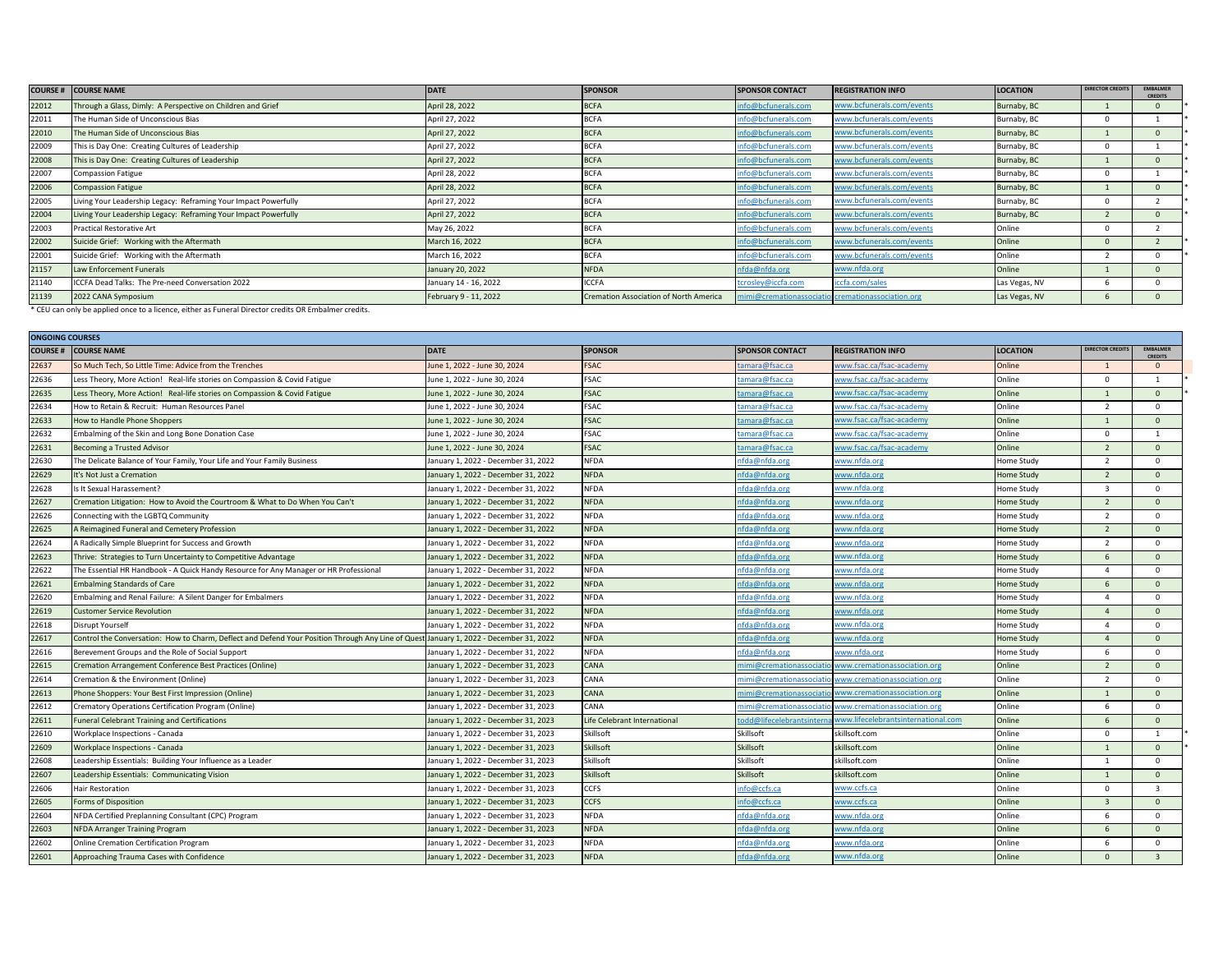|       | <b>COURSE # COURSE NAME</b>                                     | <b>DATE</b>           | <b>SPONSOR</b>                         | <b>SPONSOR CONTACT</b>  | <b>REGISTRATION INFO</b>     | <b>LOCATION</b> | DIRECTOR CREDITS | <b>EMBALMER</b><br><b>CREDITS</b> |
|-------|-----------------------------------------------------------------|-----------------------|----------------------------------------|-------------------------|------------------------------|-----------------|------------------|-----------------------------------|
| 22012 | Through a Glass, Dimly: A Perspective on Children and Grief     | April 28, 2022        | <b>BCFA</b>                            | info@bcfunerals.com     | www.bcfunerals.com/events    | Burnaby, BC     |                  |                                   |
| 22011 | The Human Side of Unconscious Bias                              | April 27, 2022        | <b>BCFA</b>                            | info@bcfunerals.com     | www.bcfunerals.com/events    | Burnaby, BC     |                  |                                   |
| 22010 | The Human Side of Unconscious Bias                              | April 27, 2022        | <b>BCFA</b>                            | info@bcfunerals.com     | www.bcfunerals.com/events    | Burnaby, BC     |                  |                                   |
| 22009 | This is Day One: Creating Cultures of Leadership                | April 27, 2022        |                                        | info@bcfunerals.com     | www.bcfunerals.com/events    | Burnaby, BC     |                  |                                   |
| 22008 | This is Day One: Creating Cultures of Leadership                | April 27, 2022        | <b>BCFA</b>                            | info@bcfunerals.com     | www.bcfunerals.com/events    | Burnaby, BC     |                  |                                   |
| 22007 | <b>Compassion Fatigue</b>                                       | April 28, 2022        | <b>BCFA</b>                            | info@bcfunerals.com     | www.bcfunerals.com/events    | Burnaby, BC     |                  |                                   |
| 22006 | <b>Compassion Fatigue</b>                                       | April 28, 2022        | <b>BCFA</b>                            | info@bcfunerals.com     | www.bcfunerals.com/events    | Burnaby, BC     |                  |                                   |
| 22005 | Living Your Leadership Legacy: Reframing Your Impact Powerfully | April 27, 2022        | <b>BCFA</b>                            | info@bcfunerals.com     | www.bcfunerals.com/events    | Burnaby, BC     |                  |                                   |
| 22004 | Living Your Leadership Legacy: Reframing Your Impact Powerfully | April 27, 2022        | <b>BCFA</b>                            | info@bcfunerals.com     | www.bcfunerals.com/events    | Burnaby, BC     |                  |                                   |
| 22003 | Practical Restorative Art                                       | May 26, 2022          | <b>BCFA</b>                            | info@bcfunerals.com     | www.bcfunerals.com/events    | Online          |                  |                                   |
| 22002 | Suicide Grief: Working with the Aftermath                       | March 16, 2022        | <b>BCFA</b>                            | info@bcfunerals.com     | www.bcfunerals.com/events    | Online          |                  |                                   |
| 22001 | Suicide Grief: Working with the Aftermath                       | March 16, 2022        | <b>BCFA</b>                            | info@bcfunerals.com     | www.bcfunerals.com/events    | Online          |                  |                                   |
| 21157 | Law Enforcement Funerals                                        | January 20, 2022      | <b>NFDA</b>                            | nfda@nfda.org           | www.nfda.org                 | Online          |                  |                                   |
| 21140 | ICCFA Dead Talks: The Pre-need Conversation 2022                | January 14 - 16, 2022 | <b>ICCFA</b>                           | tcrosley@iccfa.com      | iccfa.com/sales              | Las Vegas, NV   |                  |                                   |
| 21139 | 2022 CANA Symposium                                             | February 9 - 11, 2022 | Cremation Association of North America | mimi@cremationassociati | iol cremationassociation.org | Las Vegas, NV   |                  |                                   |

\* CEU can only be applied once to a licence, either as Funeral Director credits OR Embalmer credits.

|                | <b>ONGOING COURSES</b>                                                                                                                 |                                     |                              |                        |                                     |                   |                          |                                   |  |  |
|----------------|----------------------------------------------------------------------------------------------------------------------------------------|-------------------------------------|------------------------------|------------------------|-------------------------------------|-------------------|--------------------------|-----------------------------------|--|--|
| <b>COURSE#</b> | <b>COURSE NAME</b>                                                                                                                     | <b>DATE</b>                         | <b>SPONSOR</b>               | <b>SPONSOR CONTACT</b> | <b>REGISTRATION INFO</b>            | <b>LOCATION</b>   | <b>IRECTOR CREDITS</b>   | <b>EMBALMER</b><br><b>CREDITS</b> |  |  |
| 22637          | So Much Tech, So Little Time: Advice from the Trenches                                                                                 | June 1, 2022 - June 30, 2024        | <b>FSAC</b>                  | amara@fsac.ca          | www.fsac.ca/fsac-academy            | Online            | $\overline{1}$           | $\Omega$                          |  |  |
| 22636          | Less Theory, More Action! Real-life stories on Compassion & Covid Fatigue                                                              | June 1, 2022 - June 30, 2024        | <b>FSAC</b>                  | amara@fsac.ca          | www.fsac.ca/fsac-academy            | Online            | $\Omega$                 | <sup>1</sup>                      |  |  |
| 22635          | Less Theory, More Action! Real-life stories on Compassion & Covid Fatigue                                                              | June 1, 2022 - June 30, 2024        | <b>FSAC</b>                  | amara@fsac.ca          | www.fsac.ca/fsac-academy            | Online            | $\mathbf{1}$             | $\Omega$                          |  |  |
| 22634          | How to Retain & Recruit: Human Resources Panel                                                                                         | June 1, 2022 - June 30, 2024        | <b>FSAC</b>                  | amara@fsac.ca          | www.fsac.ca/fsac-academy            | Online            | $\overline{z}$           | $\Omega$                          |  |  |
| 22633          | How to Handle Phone Shoppers                                                                                                           | lune 1, 2022 - June 30, 2024        | <b>FSAC</b>                  | amara@fsac.ca          | ww.fsac.ca/fsac-academy             | Online            |                          | $\Omega$                          |  |  |
| 22632          | Embalming of the Skin and Long Bone Donation Case                                                                                      | June 1, 2022 - June 30, 2024        | <b>FSAC</b>                  | amara@fsac.ca          | www.fsac.ca/fsac-academy            | Online            | $\Omega$                 | $\mathbf{1}$                      |  |  |
| 22631          | Becoming a Trusted Advisor                                                                                                             | lune 1, 2022 - June 30, 2024        | <b>FSAC</b>                  | amara@fsac.ca          | vww.fsac.ca/fsac-academy            | Online            | $\overline{\phantom{a}}$ | $\Omega$                          |  |  |
| 22630          | The Delicate Balance of Your Family, Your Life and Your Family Business                                                                | January 1, 2022 - December 31, 2022 | <b>NFDA</b>                  | nfda@nfda.org          | www.nfda.org                        | Home Study        | $\overline{\phantom{a}}$ | $\Omega$                          |  |  |
| 22629          | It's Not Just a Cremation                                                                                                              | January 1, 2022 - December 31, 2022 | <b>NFDA</b>                  | nfda@nfda.org          | www.nfda.org                        | Home Study        | $\overline{z}$           | $\Omega$                          |  |  |
| 22628          | Is It Sexual Harassement?                                                                                                              | January 1, 2022 - December 31, 2022 | <b>NFDA</b>                  | nfda@nfda.org          | www.nfda.org                        | Home Study        | $\overline{3}$           | $\Omega$                          |  |  |
| 22627          | Cremation Litigation: How to Avoid the Courtroom & What to Do When You Can't                                                           | January 1, 2022 - December 31, 2022 | <b>NFDA</b>                  | ifda@nfda.org          | www.nfda.org                        | Home Study        | $\overline{z}$           | $\Omega$                          |  |  |
| 22626          | Connecting with the LGBTQ Community                                                                                                    | January 1, 2022 - December 31, 2022 | <b>NFDA</b>                  | nfda@nfda.org          | www.nfda.org                        | Home Study        | $\overline{\phantom{a}}$ | $\Omega$                          |  |  |
| 22625          | A Reimagined Funeral and Cemetery Profession                                                                                           | January 1, 2022 - December 31, 2022 | <b>NFDA</b>                  | nfda@nfda.org          | www.nfda.org                        | <b>Home Study</b> | $\overline{z}$           | $\Omega$                          |  |  |
| 22624          | A Radically Simple Blueprint for Success and Growth                                                                                    | January 1, 2022 - December 31, 2022 | <b>NFDA</b>                  | nfda@nfda.org          | www.nfda.org                        | Home Study        | $\overline{\phantom{a}}$ | $\Omega$                          |  |  |
| 22623          | Thrive: Strategies to Turn Uncertainty to Competitive Advantage                                                                        | January 1, 2022 - December 31, 2022 | <b>NFDA</b>                  | nfda@nfda.org          | www.nfda.org                        | <b>Home Study</b> | -6                       | $\Omega$                          |  |  |
| 22622          | The Essential HR Handbook - A Quick Handy Resource for Any Manager or HR Professional                                                  | January 1, 2022 - December 31, 2022 | <b>NFDA</b>                  | nfda@nfda.org          | www.nfda.org                        | Home Study        |                          | $\Omega$                          |  |  |
| 22621          | <b>Embalming Standards of Care</b>                                                                                                     | lanuary 1, 2022 - December 31, 2022 | <b>NFDA</b>                  | ifda@nfda.org          | www.nfda.org                        | <b>Home Study</b> |                          | $\Omega$                          |  |  |
| 22620          | Embalming and Renal Failure: A Silent Danger for Embalmers                                                                             | January 1, 2022 - December 31, 2022 | <b>NFDA</b>                  | nfda@nfda.org          | www.nfda.org                        | Home Study        | $\Delta$                 | $\Omega$                          |  |  |
| 22619          | Customer Service Revolution                                                                                                            | January 1, 2022 - December 31, 2022 | <b>NFDA</b>                  | ifda@nfda.org          | www.nfda.org                        | Home Study        | $\Delta$                 | $\mathbf{0}$                      |  |  |
| 22618          | Disrupt Yourself                                                                                                                       | January 1, 2022 - December 31, 2022 | NFDA                         | nfda@nfda.org          | www.nfda.org                        | Home Study        | $\Delta$                 | $\Omega$                          |  |  |
| 22617          | Control the Conversation: How to Charm, Deflect and Defend Your Position Through Any Line of Quest January 1, 2022 - December 31, 2022 |                                     | <b>NFDA</b>                  | nfda@nfda.org          | www.nfda.org                        | Home Study        |                          | $\Omega$                          |  |  |
| 22616          | Berevement Groups and the Role of Social Support                                                                                       | January 1, 2022 - December 31, 2022 | <b>NFDA</b>                  | nfda@nfda.org          | www.nfda.org                        | Home Study        | -6                       | $\mathbf{0}$                      |  |  |
| 22615          | Cremation Arrangement Conference Best Practices (Online)                                                                               | January 1, 2022 - December 31, 2023 | CANA                         | nimi@cremationassocia  | www.cremationassociation.org        | Online            | $\overline{z}$           | $\Omega$                          |  |  |
| 22614          | Cremation & the Environment (Online)                                                                                                   | January 1, 2022 - December 31, 2023 | CANA                         | nimi@cremationassocia  | www.cremationassociation.org        | Online            | $\overline{\phantom{a}}$ | $\Omega$                          |  |  |
| 22613          | Phone Shoppers: Your Best First Impression (Online)                                                                                    | January 1, 2022 - December 31, 2023 | CANA                         | nimi@cremationassocia  | www.cremationassociation.org        | Online            | $\overline{1}$           | $\mathbf{0}$                      |  |  |
| 22612          | Crematory Operations Certification Program (Online)                                                                                    | January 1, 2022 - December 31, 2023 | CANA                         | mimi@cremationassocia  | www.cremationassociation.org        | Online            | -6                       | $\Omega$                          |  |  |
| 22611          | Funeral Celebrant Training and Certifications                                                                                          | January 1, 2022 - December 31, 2023 | Life Celebrant International | odd@lifecelebrantsinte | www.lifecelebrantsinternational.com | Online            |                          | $\Omega$                          |  |  |
| 22610          | Workplace Inspections - Canada                                                                                                         | January 1, 2022 - December 31, 2023 | Skillsoft                    | Skillsoft              | skillsoft.com                       | Online            | $\Omega$                 | $\overline{1}$                    |  |  |
| 22609          | Workplace Inspections - Canada                                                                                                         | lanuary 1, 2022 - December 31, 2023 | Skillsoft                    | Skillsoft              | killsoft.com                        | Online            |                          | $\Omega$                          |  |  |
| 22608          | Leadership Essentials: Building Your Influence as a Leader                                                                             | January 1, 2022 - December 31, 2023 | Skillsoft                    | Skillsoft              | killsoft.com                        | Online            | $\overline{1}$           | $\Omega$                          |  |  |
| 22607          | Leadership Essentials: Communicating Vision                                                                                            | January 1, 2022 - December 31, 2023 | Skillsoft                    | Skillsoft              | killsoft.com                        | Online            | $\mathbf{1}$             | $\mathbf{0}$                      |  |  |
| 22606          | <b>Hair Restoration</b>                                                                                                                | January 1, 2022 - December 31, 2023 | <b>CCFS</b>                  | nfo@ccfs.ca            | vww.ccfs.ca                         | Online            | $\Omega$                 | $\overline{\mathbf{3}}$           |  |  |
| 22605          | Forms of Disposition                                                                                                                   | January 1, 2022 - December 31, 2023 | <b>CCFS</b>                  | nfo@ccfs.ca            | www.ccfs.ca                         | Online            | $\overline{z}$           | $\Omega$                          |  |  |
| 22604          | NFDA Certified Preplanning Consultant (CPC) Program                                                                                    | January 1, 2022 - December 31, 2023 | <b>NFDA</b>                  | nfda@nfda.org          | www.nfda.org                        | Online            | -6                       | $\mathbf{0}$                      |  |  |
| 22603          | NFDA Arranger Training Program                                                                                                         | January 1, 2022 - December 31, 2023 | <b>NFDA</b>                  | nfda@nfda.org          | www.nfda.org                        | Online            |                          | $\Omega$                          |  |  |
| 22602          | Online Cremation Certification Program                                                                                                 | January 1, 2022 - December 31, 2023 | NFDA                         | nfda@nfda.org          | www.nfda.org                        | Online            | -6                       | $\Omega$                          |  |  |
| 22601          | Approaching Trauma Cases with Confidence                                                                                               | January 1, 2022 - December 31, 2023 | <b>NFDA</b>                  | nfda@nfda.org          | www.nfda.org                        | Online            | $\Omega$                 | $\overline{3}$                    |  |  |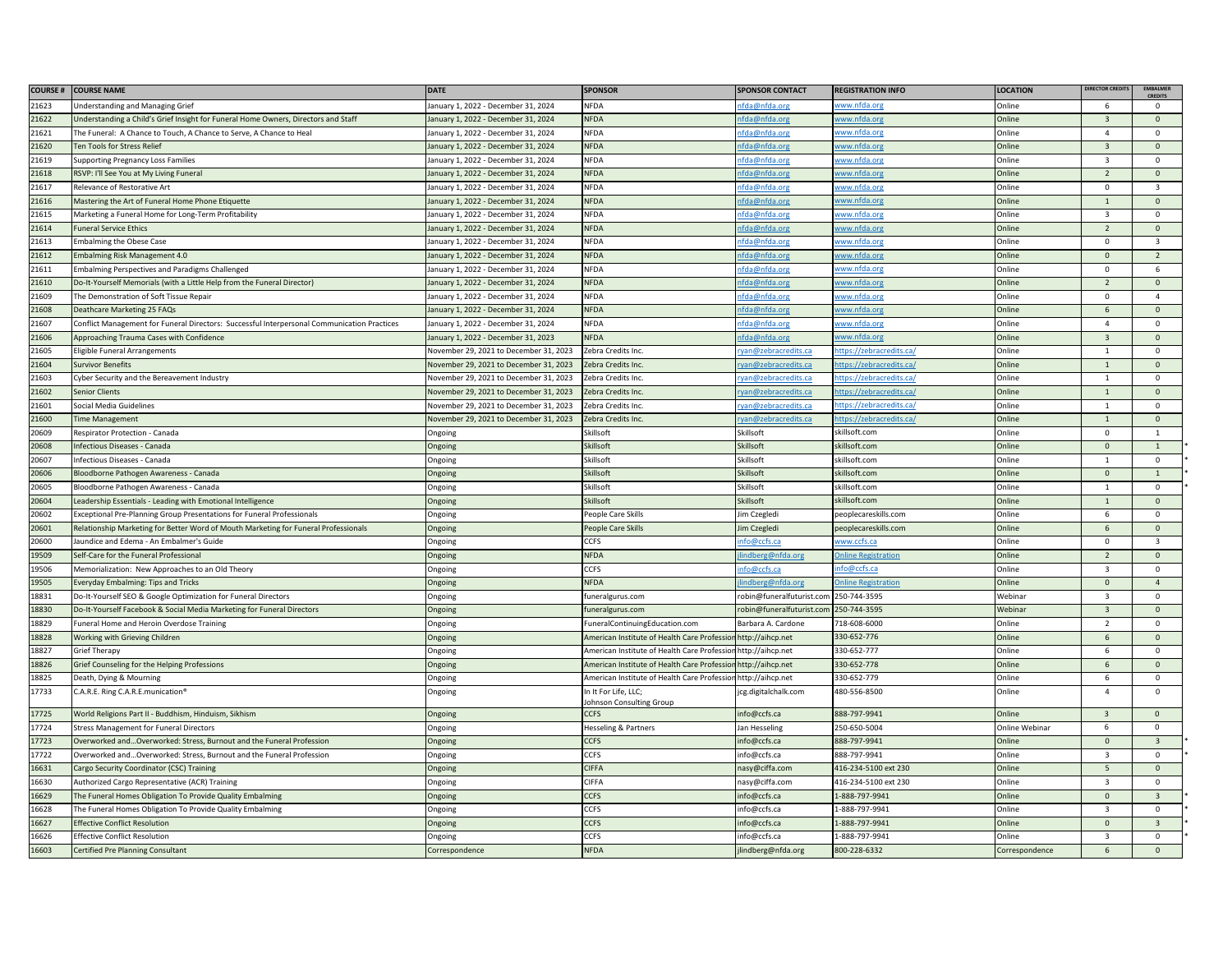| <b>COURSE#</b> | <b>COURSE NAME</b>                                                                          | <b>DATE</b>                            | <b>SPONSOR</b>                                  | <b>SPONSOR CONTACT</b>                 | <b>REGISTRATION INFO</b>   | <b>LOCATION</b> | DIRECTOR CREDIT         | <b>EMBALMER</b><br><b>CREDITS</b> |
|----------------|---------------------------------------------------------------------------------------------|----------------------------------------|-------------------------------------------------|----------------------------------------|----------------------------|-----------------|-------------------------|-----------------------------------|
| 21623          | <b>Inderstanding and Managing Grief</b>                                                     | January 1, 2022 - December 31, 2024    | <b>NFDA</b>                                     | fda@nfda.org                           | ww.nfda.org                | <b>Online</b>   | 6                       | $\Omega$                          |
| 21622          | Jnderstanding a Child's Grief Insight for Funeral Home Owners, Directors and Staff          | January 1, 2022 - December 31, 2024    | <b>NFDA</b>                                     | ifda@nfda.org                          | ww.nfda.org                | <b>Online</b>   | $\overline{3}$          | $\mathbf{0}$                      |
| 21621          | The Funeral: A Chance to Touch, A Chance to Serve, A Chance to Heal                         | January 1, 2022 - December 31, 2024    | <b>NFDA</b>                                     | fda@nfda.org                           | ww.nfda.org                | <b>Online</b>   | $\overline{4}$          | $\mathbf 0$                       |
| 21620          | Ten Tools for Stress Relief                                                                 | January 1, 2022 - December 31, 2024    | <b>NFDA</b>                                     | fda@nfda.org                           | ww.nfda.org                | Online          | $\overline{3}$          | $\Omega$                          |
| 21619          | <b>Supporting Pregnancy Loss Families</b>                                                   | January 1, 2022 - December 31, 2024    | <b>NFDA</b>                                     | nfda@nfda.org                          | www.nfda.org               | <b>Online</b>   | $\overline{\mathbf{3}}$ | $\mathsf 0$                       |
| 21618          | RSVP: I'll See You at My Living Funeral                                                     | January 1, 2022 - December 31, 2024    | <b>NFDA</b>                                     | ifda@nfda.org                          | <u>ww.nfda.org</u>         | Online          | $\overline{2}$          | $\mathsf 0$                       |
| 21617          | Relevance of Restorative Art                                                                | January 1, 2022 - December 31, 2024    | <b>NFDA</b>                                     | ifda@nfda.org                          | vww.nfda.org               | <b>Online</b>   | $\mathbf 0$             | $\overline{\mathbf{3}}$           |
| 21616          | Mastering the Art of Funeral Home Phone Etiquette                                           | January 1, 2022 - December 31, 2024    | <b>NFDA</b>                                     | ifda@nfda.org                          | ww.nfda.org                | <b>Online</b>   |                         | $\mathbf{0}$                      |
| 21615          | Marketing a Funeral Home for Long-Term Profitability                                        | January 1, 2022 - December 31, 2024    | <b>NFDA</b>                                     | ifda@nfda.org                          | ww.nfda.org                | <b>Online</b>   | $\overline{z}$          | $\Omega$                          |
| 21614          | uneral Service Ethics                                                                       | January 1, 2022 - December 31, 2024    | <b>NFDA</b>                                     | ifda@nfda.org                          | ww.nfda.org                | Online          | $\overline{2}$          | $\mathsf 0$                       |
| 21613          | mbalming the Obese Case                                                                     | January 1, 2022 - December 31, 2024    | <b>NFDA</b>                                     | nfda@nfda.org                          | ww.nfda.org                | Online          | $\Omega$                | $\overline{\mathbf{3}}$           |
| 21612          | mbalming Risk Management 4.0                                                                | January 1, 2022 - December 31, 2024    | <b>NFDA</b>                                     | ifda@nfda.org                          | ww.nfda.org                | <b>Online</b>   | $\Omega$                | $\overline{2}$                    |
| 21611          | Imbalming Perspectives and Paradigms Challenged                                             | January 1, 2022 - December 31, 2024    | <b>NFDA</b>                                     | <u>ifda@nfda.org</u>                   | ww.nfda.org                | <b>Online</b>   | $\mathbf 0$             | 6                                 |
| 21610          | O-It-Yourself Memorials (with a Little Help from the Funeral Director)                      | January 1, 2022 - December 31, 2024    | <b>NFDA</b>                                     | ifda@nfda.org                          | ww.nfda.org                | Online          | $\overline{z}$          | $\mathsf 0$                       |
| 21609          | The Demonstration of Soft Tissue Repair                                                     | January 1, 2022 - December 31, 2024    | <b>NFDA</b>                                     | nfda@nfda.org                          | ww.nfda.org                | )nline          | $\Omega$                | $\overline{4}$                    |
| 21608          | eathcare Marketing 25 FAQs                                                                  | January 1, 2022 - December 31, 2024    | <b>NFDA</b>                                     | fda@nfda.org                           | ww.nfda.org                | <b>Inline</b>   | 6                       | $\Omega$                          |
| 21607          | Conflict Management for Funeral Directors: Successful Interpersonal Communication Practices | January 1, 2022 - December 31, 2024    | <b>NFDA</b>                                     | ifda@nfda.org                          | ww.nfda.org                | Online          | $\Delta$                | $\mathsf 0$                       |
| 21606          | Approaching Trauma Cases with Confidence                                                    | January 1, 2022 - December 31, 2023    | <b>NFDA</b>                                     | ifda@nfda.org                          | ww.nfda.org                | <b>Online</b>   | $\overline{\mathbf{3}}$ | $\mathsf 0$                       |
| 21605          | ligible Funeral Arrangements                                                                | November 29, 2021 to December 31, 2023 | Zebra Credits Inc.                              | yan@zebracredits.ca                    | ttps://zebracredits.ca/    | <b>Online</b>   | $\mathbf{1}$            | $\mathsf 0$                       |
| 21604          | Survivor Benefits                                                                           | November 29, 2021 to December 31, 2023 | Zebra Credits Inc.                              | yan@zebracredits.ca                    | ttps://zebracredits.ca     | <b>Online</b>   | $\mathbf{1}$            | $\mathsf 0$                       |
| 21603          | Cyber Security and the Bereavement Industry                                                 | November 29, 2021 to December 31, 2023 | Zebra Credits Inc.                              | ryan@zebracredits.ca                   | ttps://zebracredits.ca/    | Online          | 1                       | $\mathbf{0}$                      |
| 21602          | enior Clients                                                                               | November 29, 2021 to December 31, 2023 | Zebra Credits Inc.                              | van@zebracredits.ca                    | ttps://zebracredits.ca/    | Online          | $\overline{1}$          | $\mathbf{0}$                      |
| 21601          | Social Media Guidelines                                                                     | November 29, 2021 to December 31, 2023 | Zebra Credits Inc.                              | ryan@zebracredits.ca                   | ttps://zebracredits.ca     | Online          | $\overline{1}$          | $\Omega$                          |
| 21600          | Time Management                                                                             | November 29, 2021 to December 31, 2023 | Zebra Credits Inc.                              | ryan@zebracredits.ca                   | ttps://zebracredits.ca/    | Online          | $\mathbf{1}$            | $\mathsf 0$                       |
| 20609          | lespirator Protection - Canada                                                              | Ongoing                                | Skillsoft                                       | Skillsoft                              | killsoft.com               | Online          | $\Omega$                | $\overline{1}$                    |
| 20608          | nfectious Diseases - Canada                                                                 | Ongoing                                | Skillsoft                                       | Skillsoft                              | killsoft.com               | Online          | $\mathsf{O}\xspace$     | $\mathbf{1}$                      |
| 20607          | nfectious Diseases - Canada                                                                 | Ongoing                                | Skillsoft                                       | Skillsoft                              | killsoft.com               | <b>Online</b>   |                         | $\mathbf 0$                       |
| 20606          | loodborne Pathogen Awareness - Canada                                                       | <b>Ongoing</b>                         | Skillsoft                                       | Skillsoft                              | killsoft.com               | <b>Online</b>   | $\Omega$                | $\overline{1}$                    |
| 20605          | loodborne Pathogen Awareness - Canada                                                       | Ongoing                                | Skillsoft                                       | Skillsoft                              | skillsoft.com              | <b>Online</b>   | $\overline{1}$          | $\pmb{0}$                         |
| 20604          | eadership Essentials - Leading with Emotional Intelligence                                  | Ongoing                                | <b>Skillsoft</b>                                | Skillsoft                              | killsoft.com               | <b>Inline</b>   |                         | $\mathbf{0}$                      |
| 20602          | xceptional Pre-Planning Group Presentations for Funeral Professionals                       | Ongoing                                | People Care Skills                              | lim Czegledi                           | peoplecareskills.com       | <b>Online</b>   | 6                       | $\mathbf 0$                       |
| 20601          | Relationship Marketing for Better Word of Mouth Marketing for Funeral Professionals         | Ongoing                                | People Care Skills                              | Jim Czegledi                           | peoplecareskills.com       | Online          | 6                       | $\mathbf 0$                       |
| 20600          | aundice and Edema - An Embalmer's Guide                                                     | Ongoing                                | <b>CCFS</b>                                     | fo@ccfs.ca                             | ww.ccfs.ca                 | Online          | $\mathbf 0$             | $\overline{\mathbf{3}}$           |
| 19509          | Self-Care for the Funeral Professional                                                      | Ongoing                                | <b>NFDA</b>                                     | indberg@nfda.org                       | <b>Inline Registration</b> | <b>Online</b>   | $\overline{z}$          | $\mathbf{0}$                      |
| 19506          | Memorialization: New Approaches to an Old Theory                                            | Ongoing                                | CCFS                                            | fo@ccfs.ca                             | fo@ccfs.ca                 | <b>Online</b>   | 3                       | $\mathbf 0$                       |
| 19505          | veryday Embalming: Tips and Tricks                                                          | Ongoing                                | NFDA                                            | indberg@nfda.org                       | <b>Inline Registration</b> | Online          | $\overline{0}$          | $\overline{4}$                    |
| 18831          | Do-It-Yourself SEO & Google Optimization for Funeral Directors                              | Ongoing                                | funeralgurus.com                                | robin@funeralfuturist.com 250-744-3595 |                            | Webinar         | $\overline{\mathbf{3}}$ | $\mathbf 0$                       |
| 18830          | O-It-Yourself Facebook & Social Media Marketing for Funeral Directors                       | Ongoing                                | funeralgurus.com                                | robin@funeralfuturist.com 250-744-3595 |                            | Webinar         | $\overline{3}$          | $\Omega$                          |
| 18829          | uneral Home and Heroin Overdose Training                                                    | Ongoing                                | FuneralContinuingEducation.com                  | Barbara A. Cardon                      | 718-608-6000               | <b>Online</b>   | $\overline{z}$          | $\mathsf 0$                       |
| 18828          | Working with Grieving Children                                                              | Ongoing                                | American Institute of Health Care Professio     | http://aihcp.net                       | 330-652-776                | <b>Online</b>   | 6                       | $\mathbf{0}$                      |
| 18827          | <b>Srief Therapy</b>                                                                        | Ongoing                                | American Institute of Health Care Professio     | http://aihcp.net                       | 330-652-777                | <b>Online</b>   |                         | $\Omega$                          |
| 18826          | Grief Counseling for the Helping Professions                                                | Ongoing                                | American Institute of Health Care Professic     | http://aihcp.net                       | 330-652-778                | Online          | $\mathsf{f}$            | $\mathbf{0}$                      |
| 18825          | Death, Dying & Mourning                                                                     | Ongoing                                | American Institute of Health Care Professior    | http://aihcp.net                       | 330-652-779                | Online          | 6                       | $\mathbf 0$                       |
| 17733          | ".A.R.E. Ring C.A.R.E.munication.                                                           | Ongoing                                | In It For Life, LLC;<br>ohnson Consulting Group | cg.digitalchalk.com                    | 480-556-8500               | <b>Online</b>   | $\overline{4}$          | $\mathbf 0$                       |
| 17725          | World Religions Part II - Buddhism, Hinduism, Sikhism                                       | Ongoing                                | <b>CCFS</b>                                     | info@ccfs.ca                           | 888-797-9941               | <b>Online</b>   | $\mathbf{B}$            | $\Omega$                          |
| 17724          | <b>Stress Management for Funeral Directors</b>                                              | Ongoing                                | Hesseling & Partners                            | Jan Hesseling                          | 250-650-5004               | Online Webinar  | 6                       | $\mathbf 0$                       |
| 17723          | Overworked andOverworked: Stress, Burnout and the Funeral Profession                        | Ongoing                                | <b>CCFS</b>                                     | info@ccfs.ca                           | 888-797-9941               | <b>Online</b>   | $\mathbf{0}$            | $\overline{3}$                    |
| 17722          | Overworked andOverworked: Stress, Burnout and the Funeral Profession                        | Ongoing                                | CCFS                                            | info@ccfs.ca                           | 888-797-9941               | <b>Online</b>   | $\overline{\mathbf{3}}$ | $\mathsf 0$                       |
| 16631          | Cargo Security Coordinator (CSC) Training                                                   | Ongoing                                | <b>CIFFA</b>                                    | nasy@ciffa.com                         | 416-234-5100 ext 230       | Online          | 5                       | $\mathsf 0$                       |
| 16630          | Authorized Cargo Representative (ACR) Training                                              | Ongoing                                | <b>CIFFA</b>                                    | nasy@ciffa.com                         | 416-234-5100 ext 230       | <b>Online</b>   | $\overline{\mathbf{3}}$ | $\mathsf 0$                       |
| 16629          | he Funeral Homes Obligation To Provide Quality Embalming                                    | <b>Ongoing</b>                         | <b>CCFS</b>                                     | nfo@ccfs.ca                            | L-888-797-9941             | <b>Online</b>   | $\Omega$                | $\overline{3}$                    |
| 16628          | The Funeral Homes Obligation To Provide Quality Embalming                                   | Ongoing                                | <b>CCFS</b>                                     | info@ccfs.ca                           | -888-797-9941              | <b>Online</b>   |                         | $\Omega$                          |
| 16627          | <b>Effective Conflict Resolution</b>                                                        | Ongoing                                | <b>CCFS</b>                                     | info@ccfs.ca                           | L-888-797-9941             | <b>Online</b>   | $\mathbf 0$             | $\overline{\mathbf{3}}$           |
| 16626          | Effective Conflict Resolution                                                               | Ongoing                                | <b>CCFS</b>                                     | info@ccfs.ca                           | L-888-797-9941             | <b>Online</b>   | $\overline{3}$          | $\mathsf 0$                       |
| 16603          | Certified Pre Planning Consultant                                                           | Correspondence                         | <b>NFDA</b>                                     | lindberg@nfda.org                      | 800-228-6332               | Correspondence  | 6                       | $\mathbf{0}$                      |